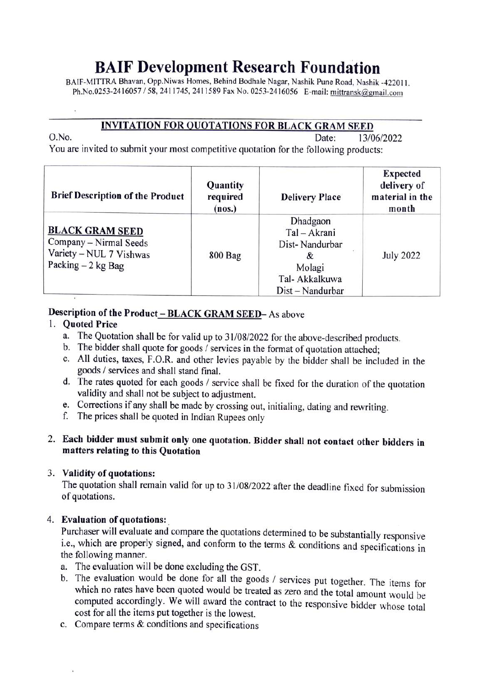## BAIF Development Research Foundation

BAIF-MITTRA Bhavan, Opp.Niwas Homes, Behind Bodhale Nagar, Nashik Pune Road, Nashik -422011 Ph.No.0253-2416057/58, 2411745, 2411589 Fax No. 0253-2416056 E-mail: mittransk@gmail.com

# **INVITATION FOR QUOTATIONS FOR BLACK GRAM SEED**<br>Date: 13/0

O.No. Date:

13/06/2022

You are invited to submit your most competitive quotation for the following products:

| <b>Brief Description of the Product</b>                                                            | Quantity<br>required<br>(nos.) | <b>Delivery Place</b>                                                                            | <b>Expected</b><br>delivery of<br>material in the<br>month |
|----------------------------------------------------------------------------------------------------|--------------------------------|--------------------------------------------------------------------------------------------------|------------------------------------------------------------|
| <b>BLACK GRAM SEED</b><br>Company - Nirmal Seeds<br>Variety - NUL 7 Vishwas<br>Packing $-2$ kg Bag | <b>800 Bag</b>                 | Dhadgaon<br>Tal - Akrani<br>Dist-Nandurbar<br>X.<br>Molagi<br>Tal- Akkalkuwa<br>Dist – Nandurbar | <b>July 2022</b>                                           |

### Description of the Product - BLACK GRAM SEED- As above

#### 1. Quoted Price

- a. The Quotation shall be for valid up to 31/08/2022 for the above-described products.<br>b. The bidder shall quote for goods / services in the format of quotation attached;
- 
- C. All duties, taxes, F.O.R. and other levies payable by the bidder shall be included in the goods/ services and shall stand final.
- d. The rates quoted for each goods/ service shall be fixed for the duration of the quotation validity and shall not be subject to adjustment.
- e. Corrections if any shall be made by crossing out, initialing, dating and rewriting.
- f. The prices shall be quoted in Indian Rupees only

### 2. Each bidder must submit only one quotation. Bidder shall not contact other bidders in matters relating to this Quotation

3. Validity of quotations: The quotation shall remain valid for up to 31/08/2022 after the deadline fixed for submission of quotations.

4. **Evaluation of quotations:**<br>Purchaser will evaluate and compare the quotations determined to be substantially responsive<br>i.e., which are properly signed, and conform to the terms & conditions and specifications in the following manner.

- a. The evaluation will be done excluding the GST.
- which no rates have been quoted would be treated as zero and the total amount would be computed accordingly. We will award the contract to the responsive bidder whose total cost for all the items put together is the lowest. b. The evaluation would be done for all the goods / services put together. The items for
- c. Compare terms & conditions and specifications